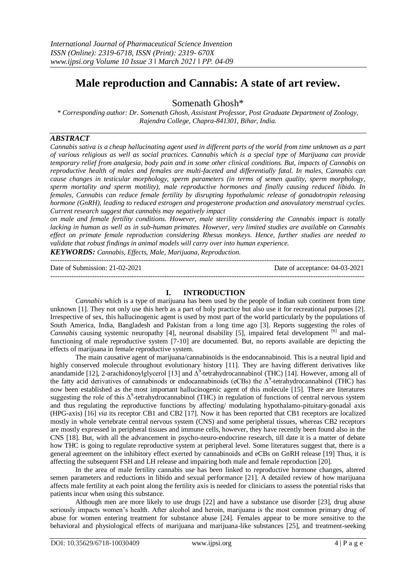# **Male reproduction and Cannabis: A state of art review.**

Somenath Ghosh\*

*\* Corresponding author: Dr. Somenath Ghosh, Assistant Professor, Post Graduate Department of Zoology, Rajendra College, Chapra-841301, Bihar, India.*

# *ABSTRACT*

*Cannabis sativa is a cheap hallucinating agent used in different parts of the world from time unknown as a part of various religious as well as social practices. Cannabis which is a special type of Marijuana can provide temporary relief from analgesia, body pain and in some other clinical conditions. But, impacts of Cannabis on reproductive health of males and females are multi-faceted and differentially fatal. In males, Cannabis can cause changes in testicular morphology, sperm parameters (in terms of semen quality, sperm morphology, sperm mortality and sperm motility), male reproductive hormones and finally causing reduced libido. In females, Cannabis can reduce female fertility by disrupting hypothalamic release of gonadotropin releasing hormone (GnRH), leading to reduced estrogen and progesterone production and anovulatory menstrual cycles. Current research suggest that cannabis may negatively impact*

*on male and female fertility conditions. However, male sterility considering the Cannabis impact is totally lacking in human as well as in sub-human primates. However, very limited studies are available on Cannabis effect on primate female reproduction considering Rhesus monkeys. Hence, further studies are needed to validate that robust findings in animal models will carry over into human experience.*

*KEYWORDS: Cannabis, Effects, Male, Marijuana, Reproduction.*

--------------------------------------------------------------------------------------------------------------------------------------- Date of Submission: 21-02-2021 Date of acceptance: 04-03-2021 ---------------------------------------------------------------------------------------------------------------------------------------

#### **I. INTRODUCTION**

*Cannabis* which is a type of marijuana has been used by the people of Indian sub continent from time unknown [1]. They not only use this herb as a part of holy practice but also use it for recreational purposes [2]. Irrespective of sex, this hallucinogenic agent is used by most part of the world particularly by the populations of South America, India, Bangladesh and Pakistan from a long time ago [3]. Reports suggesting the roles of *Cannabis* causing systemic neuropathy [4], neuronal disability [5], impaired fetal development <sup>[6]</sup> and malfunctioning of male reproductive system [7-10] are documented. But, no reports available are depicting the effects of marijuana in female reproductive system.

The main causative agent of marijuana/cannabinoids is the endocannabinoid. This is a neutral lipid and highly conserved molecule throughout evolutionary history [11]. They are having different derivatives like anandamide [12], 2-arachidonoylglycerol [13] and  $\Delta^9$ -tetrahydrocannabinol (THC) [14]. However, among all of the fatty acid derivatives of cannabinods or endocannabinoids (eCBs) the  $\Delta^9$ -tetrahydrocannabinol (THC) has now been established as the most important hallucinogenic agent of this molecule [15]. There are literatures suggesting the role of this  $\Delta^9$ -tetrahydrocannabinol (THC) in regulation of functions of central nervous system and thus regulating the reproductive functions by affecting/ modulating hypothalamo-pituitary-gonadal axis (HPG-axis) [16] *via* its receptor CB1 and CB2 [17]. Now it has been reported that CB1 receptors are localized mostly in whole vertebrate central nervous system (CNS) and some peripheral tissues, whereas CB2 receptors are mostly expressed in peripheral tissues and immune cells, however, they have recently been found also in the CNS [18]. But, with all the advancement in psycho-neuro-endocrine research, till date it is a matter of debate how THC is going to regulate reproductive system at peripheral level. Some literatures suggest that, there is a general agreement on the inhibitory effect exerted by cannabinoids and eCBs on GnRH release [19] Thus, it is affecting the subsequent FSH and LH release and impairing both male and female reproduction [20].

In the area of male fertility cannabis use has been linked to reproductive hormone changes, altered semen parameters and reductions in libido and sexual performance [21]. A detailed review of how marijuana affects male fertility at each point along the fertility axis is needed for clinicians to assess the potential risks that patients incur when using this substance.

Although men are more likely to use drugs [22] and have a substance use disorder [23], drug abuse seriously impacts women's health. After alcohol and heroin, marijuana is the most common primary drug of abuse for women entering treatment for substance abuse [24]. Females appear to be more sensitive to the behavioral and physiological effects of marijuana and marijuana-like substances [25], and treatment-seeking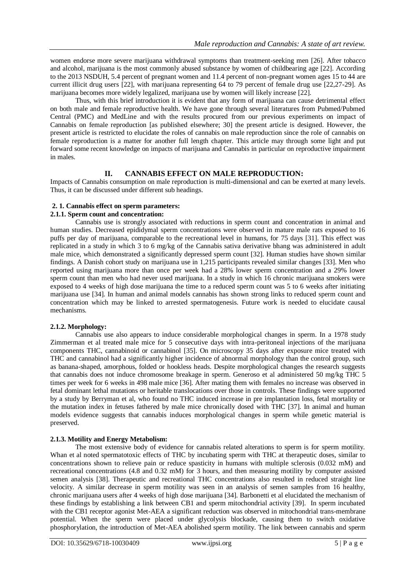women endorse more severe marijuana withdrawal symptoms than treatment-seeking men [26]. After tobacco and alcohol, marijuana is the most commonly abused substance by women of childbearing age [22]. According to the 2013 NSDUH, 5.4 percent of pregnant women and 11.4 percent of non-pregnant women ages 15 to 44 are current illicit drug users [22], with marijuana representing 64 to 79 percent of female drug use [22,27-29]. As marijuana becomes more widely legalized, marijuana use by women will likely increase [22].

Thus, with this brief introduction it is evident that any form of marijuana can cause detrimental effect on both male and female reproductive health. We have gone through several literatures from Pubmed/Pubmed Central (PMC) and MedLine and with the results procured from our previous experiments on impact of Cannabis on female reproduction [as published elsewhere; 30] the present article is designed. However, the present article is restricted to elucidate the roles of cannabis on male reproduction since the role of cannabis on female reproduction is a matter for another full length chapter. This article may through some light and put forward some recent knowledge on impacts of marijuana and Cannabis in particular on reproductive impairment in males.

# **II. CANNABIS EFFECT ON MALE REPRODUCTION:**

Impacts of Cannabis consumption on male reproduction is multi-dimensional and can be exerted at many levels. Thus, it can be discussed under different sub headings.

## **2. 1. Cannabis effect on sperm parameters:**

#### **2.1.1. Sperm count and concentration:**

Cannabis use is strongly associated with reductions in sperm count and concentration in animal and human studies. Decreased epididymal sperm concentrations were observed in mature male rats exposed to 16 puffs per day of marijuana, comparable to the recreational level in humans, for 75 days [31]. This effect was replicated in a study in which 3 to 6 mg/kg of the Cannabis sativa derivative bhang was administered in adult male mice, which demonstrated a significantly depressed sperm count [32]. Human studies have shown similar findings. A Danish cohort study on marijuana use in 1,215 participants revealed similar changes [33]. Men who reported using marijuana more than once per week had a 28% lower sperm concentration and a 29% lower sperm count than men who had never used marijuana. In a study in which 16 chronic marijuana smokers were exposed to 4 weeks of high dose marijuana the time to a reduced sperm count was 5 to 6 weeks after initiating marijuana use [34]. In human and animal models cannabis has shown strong links to reduced sperm count and concentration which may be linked to arrested spermatogenesis. Future work is needed to elucidate causal mechanisms.

#### **2.1.2. Morphology:**

Cannabis use also appears to induce considerable morphological changes in sperm. In a 1978 study Zimmerman et al treated male mice for 5 consecutive days with intra-peritoneal injections of the marijuana components THC, cannabinoid or cannabinol [35]. On microscopy 35 days after exposure mice treated with THC and cannabinol had a significantly higher incidence of abnormal morphology than the control group, such as banana-shaped, amorphous, folded or hookless heads. Despite morphological changes the research suggests that cannabis does not induce chromosome breakage in sperm. Generoso et al administered 50 mg/kg THC 5 times per week for 6 weeks in 498 male mice [36]. After mating them with females no increase was observed in fetal dominant lethal mutations or heritable translocations over those in controls. These findings were supported by a study by Berryman et al, who found no THC induced increase in pre implantation loss, fetal mortality or the mutation index in fetuses fathered by male mice chronically dosed with THC [37]. In animal and human models evidence suggests that cannabis induces morphological changes in sperm while genetic material is preserved.

# **2.1.3. Motility and Energy Metabolism:**

The most extensive body of evidence for cannabis related alterations to sperm is for sperm motility. Whan et al noted spermatotoxic effects of THC by incubating sperm with THC at therapeutic doses, similar to concentrations shown to relieve pain or reduce spasticity in humans with multiple sclerosis (0.032 mM) and recreational concentrations (4.8 and 0.32 mM) for 3 hours, and then measuring motility by computer assisted semen analysis [38]. Therapeutic and recreational THC concentrations also resulted in reduced straight line velocity. A similar decrease in sperm motility was seen in an analysis of semen samples from 16 healthy, chronic marijuana users after 4 weeks of high dose marijuana [34]. Barbonetti et al elucidated the mechanism of these findings by establishing a link between CB1 and sperm mitochondrial activity [39]. In sperm incubated with the CB1 receptor agonist Met-AEA a significant reduction was observed in mitochondrial trans-membrane potential. When the sperm were placed under glycolysis blockade, causing them to switch oxidative phosphorylation, the introduction of Met-AEA abolished sperm motility. The link between cannabis and sperm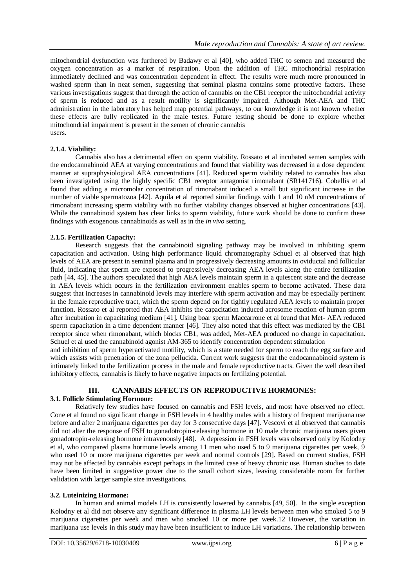mitochondrial dysfunction was furthered by Badawy et al [40], who added THC to semen and measured the oxygen concentration as a marker of respiration. Upon the addition of THC mitochondrial respiration immediately declined and was concentration dependent in effect. The results were much more pronounced in washed sperm than in neat semen, suggesting that seminal plasma contains some protective factors. These various investigations suggest that through the action of cannabis on the CB1 receptor the mitochondrial activity of sperm is reduced and as a result motility is significantly impaired. Although Met-AEA and THC administration in the laboratory has helped map potential pathways, to our knowledge it is not known whether these effects are fully replicated in the male testes. Future testing should be done to explore whether mitochondrial impairment is present in the semen of chronic cannabis users.

## **2.1.4. Viability:**

Cannabis also has a detrimental effect on sperm viability. Rossato et al incubated semen samples with the endocannabinoid AEA at varying concentrations and found that viability was decreased in a dose dependent manner at supraphysiological AEA concentrations [41]. Reduced sperm viability related to cannabis has also been investigated using the highly specific CB1 receptor antagonist rimonabant (SR141716). Cobellis et al found that adding a micromolar concentration of rimonabant induced a small but significant increase in the number of viable spermatozoa [42]. Aquila et al reported similar findings with 1 and 10 nM concentrations of rimonabant increasing sperm viability with no further viability changes observed at higher concentrations [43]. While the cannabinoid system has clear links to sperm viability, future work should be done to confirm these findings with exogenous cannabinoids as well as in the *in vivo* setting.

## **2.1.5. Fertilization Capacity:**

Research suggests that the cannabinoid signaling pathway may be involved in inhibiting sperm capacitation and activation. Using high performance liquid chromatography Schuel et al observed that high levels of AEA are present in seminal plasma and in progressively decreasing amounts in oviductal and follicular fluid, indicating that sperm are exposed to progressively decreasing AEA levels along the entire fertilization path [44, 45]. The authors speculated that high AEA levels maintain sperm in a quiescent state and the decrease in AEA levels which occurs in the fertilization environment enables sperm to become activated. These data suggest that increases in cannabinoid levels may interfere with sperm activation and may be especially pertinent in the female reproductive tract, which the sperm depend on for tightly regulated AEA levels to maintain proper function. Rossato et al reported that AEA inhibits the capacitation induced acrosome reaction of human sperm after incubation in capacitating medium [41]. Using boar sperm Maccarrone et al found that Met- AEA reduced sperm capacitation in a time dependent manner [46]. They also noted that this effect was mediated by the CB1 receptor since when rimonabant, which blocks CB1, was added, Met-AEA produced no change in capacitation. Schuel et al used the cannabinoid agonist AM-365 to identify concentration dependent stimulation

and inhibition of sperm hyperactivated motility, which is a state needed for sperm to reach the egg surface and which assists with penetration of the zona pellucida. Current work suggests that the endocannabinoid system is intimately linked to the fertilization process in the male and female reproductive tracts. Given the well described inhibitory effects, cannabis is likely to have negative impacts on fertilizing potential.

# **III. CANNABIS EFFECTS ON REPRODUCTIVE HORMONES:**

#### **3.1. Follicle Stimulating Hormone:**

Relatively few studies have focused on cannabis and FSH levels, and most have observed no effect. Cone et al found no significant change in FSH levels in 4 healthy males with a history of frequent marijuana use before and after 2 marijuana cigarettes per day for 3 consecutive days [47]. Vescovi et al observed that cannabis did not alter the response of FSH to gonadotropin-releasing hormone in 10 male chronic marijuana users given gonadotropin-releasing hormone intravenously [48]. A depression in FSH levels was observed only by Kolodny et al, who compared plasma hormone levels among 11 men who used 5 to 9 marijuana cigarettes per week, 9 who used 10 or more marijuana cigarettes per week and normal controls [29]. Based on current studies, FSH may not be affected by cannabis except perhaps in the limited case of heavy chronic use. Human studies to date have been limited in suggestive power due to the small cohort sizes, leaving considerable room for further validation with larger sample size investigations.

#### **3.2. Luteinizing Hormone:**

In human and animal models LH is consistently lowered by cannabis [49, 50]. In the single exception Kolodny et al did not observe any significant difference in plasma LH levels between men who smoked 5 to 9 marijuana cigarettes per week and men who smoked 10 or more per week.12 However, the variation in marijuana use levels in this study may have been insufficient to induce LH variations. The relationship between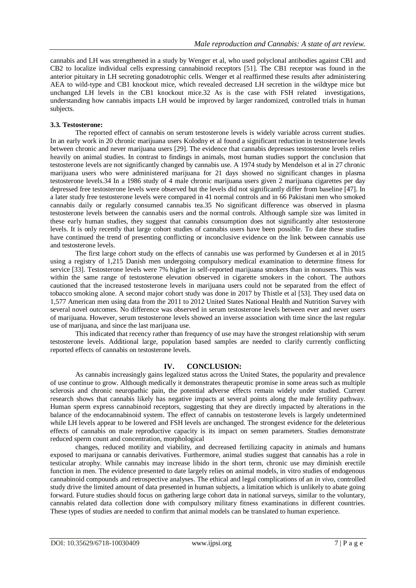cannabis and LH was strengthened in a study by Wenger et al, who used polyclonal antibodies against CB1 and CB2 to localize individual cells expressing cannabinoid receptors [51]. The CB1 receptor was found in the anterior pituitary in LH secreting gonadotrophic cells. Wenger et al reaffirmed these results after administering AEA to wild-type and CB1 knockout mice, which revealed decreased LH secretion in the wildtype mice but unchanged LH levels in the CB1 knockout mice.32 As is the case with FSH related investigations, understanding how cannabis impacts LH would be improved by larger randomized, controlled trials in human subjects.

## **3.3. Testosterone:**

The reported effect of cannabis on serum testosterone levels is widely variable across current studies. In an early work in 20 chronic marijuana users Kolodny et al found a significant reduction in testosterone levels between chronic and never marijuana users [29]. The evidence that cannabis depresses testosterone levels relies heavily on animal studies. In contrast to findings in animals, most human studies support the conclusion that testosterone levels are not significantly changed by cannabis use. A 1974 study by Mendelson et al in 27 chronic marijuana users who were administered marijuana for 21 days showed no significant changes in plasma testosterone levels.34 In a 1986 study of 4 male chronic marijuana users given 2 marijuana cigarettes per day depressed free testosterone levels were observed but the levels did not significantly differ from baseline [47]. In a later study free testosterone levels were compared in 41 normal controls and in 66 Pakistani men who smoked cannabis daily or regularly consumed cannabis tea.35 No significant difference was observed in plasma testosterone levels between the cannabis users and the normal controls. Although sample size was limited in these early human studies, they suggest that cannabis consumption does not significantly alter testosterone levels. It is only recently that large cohort studies of cannabis users have been possible. To date these studies have continued the trend of presenting conflicting or inconclusive evidence on the link between cannabis use and testosterone levels.

The first large cohort study on the effects of cannabis use was performed by Gundersen et al in 2015 using a registry of 1,215 Danish men undergoing compulsory medical examination to determine fitness for service [33]. Testosterone levels were 7% higher in self-reported marijuana smokers than in nonusers. This was within the same range of testosterone elevation observed in cigarette smokers in the cohort. The authors cautioned that the increased testosterone levels in marijuana users could not be separated from the effect of tobacco smoking alone. A second major cohort study was done in 2017 by Thistle et al [53]. They used data on 1,577 American men using data from the 2011 to 2012 United States National Health and Nutrition Survey with several novel outcomes. No difference was observed in serum testosterone levels between ever and never users of marijuana. However, serum testosterone levels showed an inverse association with time since the last regular use of marijuana, and since the last marijuana use.

This indicated that recency rather than frequency of use may have the strongest relationship with serum testosterone levels. Additional large, population based samples are needed to clarify currently conflicting reported effects of cannabis on testosterone levels.

# **IV. CONCLUSION:**

As cannabis increasingly gains legalized status across the United States, the popularity and prevalence of use continue to grow. Although medically it demonstrates therapeutic promise in some areas such as multiple sclerosis and chronic neuropathic pain, the potential adverse effects remain widely under studied. Current research shows that cannabis likely has negative impacts at several points along the male fertility pathway. Human sperm express cannabinoid receptors, suggesting that they are directly impacted by alterations in the balance of the endocannabinoid system. The effect of cannabis on testosterone levels is largely undetermined while LH levels appear to be lowered and FSH levels are unchanged. The strongest evidence for the deleterious effects of cannabis on male reproductive capacity is its impact on semen parameters. Studies demonstrate reduced sperm count and concentration, morphological

changes, reduced motility and viability, and decreased fertilizing capacity in animals and humans exposed to marijuana or cannabis derivatives. Furthermore, animal studies suggest that cannabis has a role in testicular atrophy. While cannabis may increase libido in the short term, chronic use may diminish erectile function in men. The evidence presented to date largely relies on animal models, in vitro studies of endogenous cannabinoid compounds and retrospective analyses. The ethical and legal complications of an *in vivo*, controlled study drive the limited amount of data presented in human subjects, a limitation which is unlikely to abate going forward. Future studies should focus on gathering large cohort data in national surveys, similar to the voluntary, cannabis related data collection done with compulsory military fitness examinations in different countries. These types of studies are needed to confirm that animal models can be translated to human experience.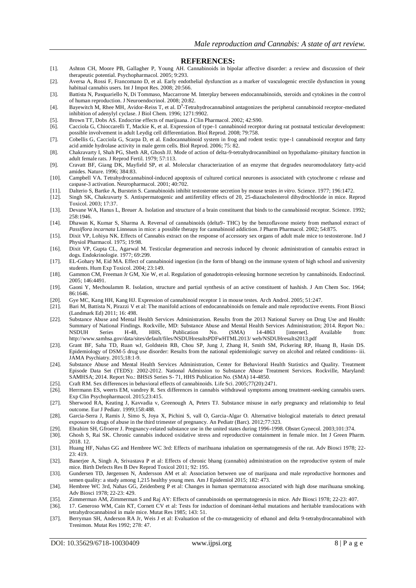#### **REFERENCES:**

- [1]. Ashton CH, Moore PB, Gallagher P, Young AH. Cannabinoids in bipolar affective disorder: a review and discussion of their therapeutic potential. Psychopharmacol. 2005; 9:293.
- [2]. Aversa A, Rossi F, Francomano D, et al. Early endothelial dysfunction as a marker of vasculogenic erectile dysfunction in young habitual cannabis users. Int J Impot Res. 2008; 20:566.
- [3]. Battista N, Pasquariello N, Di Tommaso, Maccarrone M. Interplay between endocannabinoids, steroids and cytokines in the control of human reproduction. J Neuroendocrinol. 2008; 20:82.
- [4]. Bayewitch M, Rhee MH, Avidor-Reiss T, et al. D<sup>9</sup>-Tetrahydrocannabinol antagonizes the peripheral cannabinoid receptor-mediated inhibition of adenylyl cyclase. J Biol Chem. 1996; 1271:9902.
- [5]. Brown TT, Dobs AS. Endocrine effects of marijuana. J Clin Pharmacol. 2002; 42:S90.
- [6]. Cacciola G, Chioccarelli T, Mackie K, et al. Expression of type-1 cannabinoid receptor during rat postnatal testicular development: possible involvement in adult Leydig cell differentiation. Biol Reprod. 2008; 79:758.
- [7]. Cobellis G, Cacciola G, Scarpa D, et al. Endocannabinoid system in frog and rodent testis: type-1 cannabinoid receptor and fatty acid amide hydrolase activity in male germ cells. Biol Reprod. 2006; 75: 82.
- [8]. Chakravarty I, Shah PG, Sheth AR, Ghosh JJ. Mode of action of delta-9-tetrahydrocannibinol on hypothalamo–pituitary function in adult female rats. J Reprod Fertil. 1979; 57:113.
- [9]. Cravatt BF, Giang DK, Mayfield SP, et al. Molecular characterization of an enzyme that degrades neuromodulatory fatty-acid amides. Nature. 1996; 384:83.
- [10]. Campbell VA. Tetrahydrocannabinol-induced apoptosis of cultured cortical neurones is associated with cytochrome c release and caspase-3 activation. Neuropharmacol. 2001; 40:702.
- [11]. Dalterio S, Bartke A, Burstein S. Cannabinoids inhibit testosterone secretion by mouse testes *in vitro*. Science. 1977; 196:1472.
- [12]. Singh SK, Chakravarty S. Antispermatogenic and antifertility effects of 20, 25-diazacholesterol dihydrochloride in mice. Reprod Toxicol. 2003; 17:37.
- [13]. Devane WA, Hanus L, Breuer A. Isolation and structure of a brain constituent that binds to the cannabinoid receptor. Science. 1992; 258:1946.
- [14]. Dhawan K, Kumar S, Sharma A. Reversal of cannabinoids (delta9- THC) by the benzoflavone moiety from methanol extract of *Passiflora incarnata* Linneaus in mice: a possible therapy for cannabinoid addiction. J Pharm Pharmacol. 2002; 54:875.
- [15]. Dixit VP, Lohiya NK. Effects of Cannabis extract on the response of accessory sex organs of adult male mice to testosterone. Ind J Physiol Pharmacol. 1975; 19:98.
- [16]. Dixit VP, Gupta CL, Agarwal M. Testicular degeneration and necrosis induced by chronic administration of cannabis extract in dogs. Endokrinologie. 1977; 69:299.
- [17]. EL-Gohary M, Eid MA. Effect of cannabinoid ingestion (in the form of bhang) on the immune system of high school and university students. Hum Exp Toxicol. 2004; 23:149.
- [18]. Gammon CM, Freeman Jr GM, Xie W, et al. Regulation of gonadotropin-releasing hormone secretion by cannabinoids. Endocrinol. 2005; 146:4491.
- [19]. Gaoni Y, Mechoulamm R. Isolation, structure and partial synthesis of an active constituent of hashish. J Am Chem Soc. 1964; 86:1646.
- [20]. Gye MC, Kang HH, Kang HJ. Expression of cannabinoid receptor 1 in mouse testes. Arch Androl. 2005; 51:247.
- [21]. Bari M, Battista N, Pirazzi V et al: The manifold actions of endocannabinoids on female and male reproductive events. Front Biosci (Landmark Ed) 2011; 16: 498.
- [22]. Substance Abuse and Mental Health Services Administration. Results from the 2013 National Survey on Drug Use and Health: Summary of National Findings. Rockville, MD: Substance Abuse and Mental Health Services Administration; 2014. Report No.: NSDUH Series H-48, HHS, Publication No. (SMA) 14-4863 [internet]. Available from: http://www.samhsa.gov/data/sites/default/files/NSDUHresultsPDFwHTML2013/ web/NSDUHresults2013.pdf
- [23]. Grant BF, Saha TD, Ruan wJ, Goldstein RB, Chou SP, Jung J, Zhang H, Smith SM, Pickering RP, Huang B, Hasin DS. Epidemiology of DSM-5 drug use disorder: Results from the national epidemiologic survey on alcohol and related conditions- iii. JAMA Psychiatry. 2015;18:1-9.
- [24]. Substance Abuse and Mental Health Services Administration, Center for Behavioral Health Statistics and Quality. Treatment Episode Data Set (TEDS): 2002-2012. National Admission to Substance Abuse Treatment Services. Rockville, Maryland: SAMHSA; 2014. Report No.: BHSiS Series S- 71, HHS Publication No. (SMA) 14-4850.
- [25]. Craft RM. Sex differences in behavioral effects of cannabinoids. Life Sci. 2005;77(20):2471.
- [26]. Herrmann ES, weerts EM, vandrey R. Sex differences in cannabis withdrawal symptoms among treatment-seeking cannabis users. Exp Clin Psychopharmacol. 2015;23:415.
- [27]. Sherwood RA, Keating J, Kavvadia v, Greenough A, Peters TJ. Substance misuse in early pregnancy and relationship to fetal outcome. Eur J Pediatr. 1999;158:488.
- [28]. Garcia-Serra J, Ramis J, Simo S, Joya X, Pichini S, vall O, Garcia-Algar O. Alternative biological materials to detect prenatal exposure to drugs of abuse in the third trimester of pregnancy. An Pediatr (Barc). 2012;77:323.
- [29]. Ebrahim SH, Gfroerer J. Pregnancy-related substance use in the united states during 1996-1998. Obstet Gynecol. 2003;101:374.
- [30]. Ghosh S, Rai SK. Chronic cannabis induced oxidative stress and reproductive containment in female mice. Int J Green Pharm. 2018. 12.
- [31]. Huang HF, Nahas GG and Hembree WC 3rd: Effects of marihuana inhalation on spermatogenesis of the rat. Adv Biosci 1978; 22- 23: 419.
- [32]. Banerjee A, Singh A, Srivastava P et al: Effects of chronic bhang (cannabis) administration on the reproductive system of male mice. Birth Defects Res B Dev Reprod Toxicol 2011; 92: 195.
- [33]. Gundersen TD, Jørgensen N, Andersson AM et al: Association between use of marijuana and male reproductive hormones and semen quality: a study among 1,215 healthy young men. Am J Epidemiol 2015; 182: 473.
- [34]. Hembree WC 3rd, Nahas GG, Zeidenberg P et al: Changes in human spermatozoa associated with high dose marihuana smoking. Adv Biosci 1978; 22-23: 429.
- [35]. Zimmerman AM, Zimmerman S and Raj AY: Effects of cannabinoids on spermatogenesis in mice. Adv Biosci 1978; 22-23: 407.
- [36]. 17. Generoso WM, Cain KT, Cornett CV et al: Tests for induction of dominant-lethal mutations and heritable translocations with tetrahydrocannabinol in male mice. Mutat Res 1985; 143: 51.
- [37]. Berryman SH, Anderson RA Jr, Weis J et al: Evaluation of the co-mutagenicity of ethanol and delta 9-tetrahydrocannabinol with Trenimon. Mutat Res 1992; 278: 47.